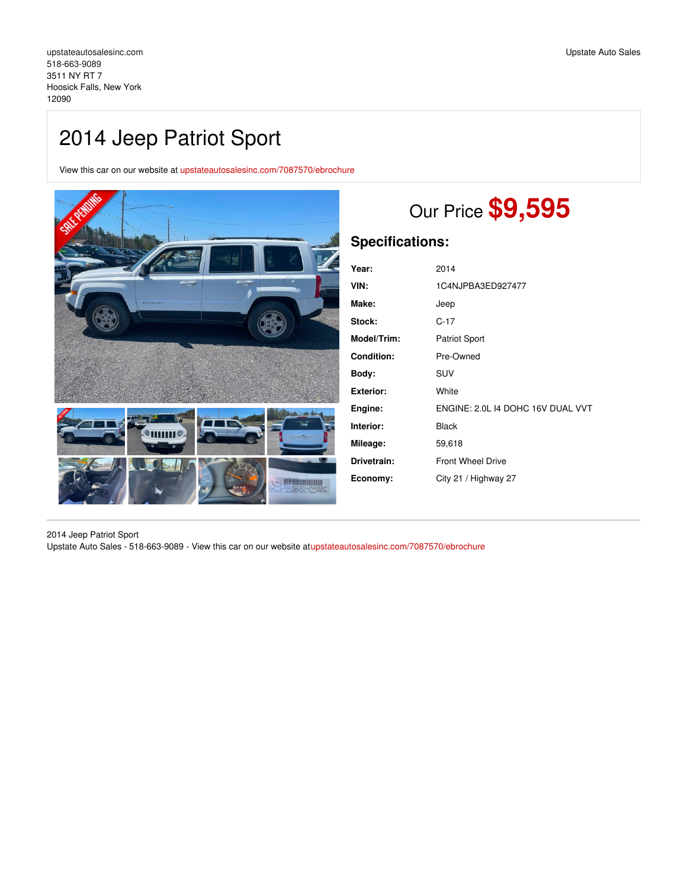## 2014 Jeep Patriot Sport

View this car on our website at [upstateautosalesinc.com/7087570/ebrochure](https://upstateautosalesinc.com/vehicle/7087570/2014-jeep-patriot-sport-hoosick-falls-new-york-12090/7087570/ebrochure)



# Our Price **\$9,595**

| Year:              | 2014                              |
|--------------------|-----------------------------------|
| VIN:               | 1C4NJPBA3ED927477                 |
| Make:              | Jeep                              |
| Stock:             | $C-17$                            |
| <b>Model/Trim:</b> | <b>Patriot Sport</b>              |
| <b>Condition:</b>  | Pre-Owned                         |
| Body:              | <b>SUV</b>                        |
| Exterior:          | White                             |
| Engine:            | ENGINE: 2.0L 14 DOHC 16V DUAL VVT |
| Interior:          | <b>Black</b>                      |
| Mileage:           | 59,618                            |
| Drivetrain:        | <b>Front Wheel Drive</b>          |
| Economy:           | City 21 / Highway 27              |
|                    |                                   |

2014 Jeep Patriot Sport Upstate Auto Sales - 518-663-9089 - View this car on our website a[tupstateautosalesinc.com/7087570/ebrochure](https://upstateautosalesinc.com/vehicle/7087570/2014-jeep-patriot-sport-hoosick-falls-new-york-12090/7087570/ebrochure)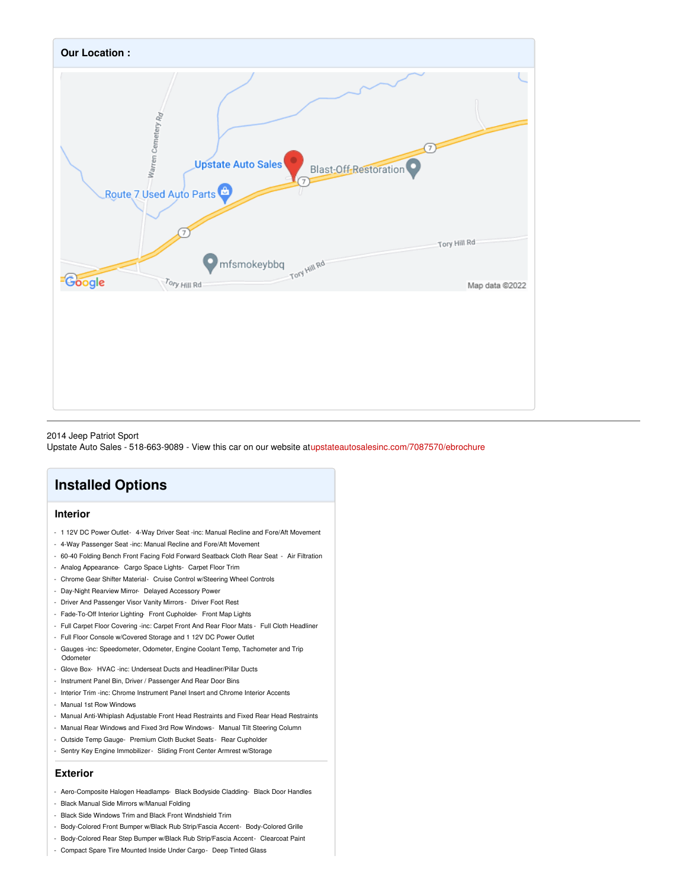

#### 2014 Jeep Patriot Sport

Upstate Auto Sales - 518-663-9089 - View this car on our website a[tupstateautosalesinc.com/7087570/ebrochure](https://upstateautosalesinc.com/vehicle/7087570/2014-jeep-patriot-sport-hoosick-falls-new-york-12090/7087570/ebrochure)

## **Installed Options**

#### **Interior**

- 1 12V DC Power Outlet- 4-Way Driver Seat -inc: Manual Recline and Fore/Aft Movement
- 4-Way Passenger Seat -inc: Manual Recline and Fore/Aft Movement
- 60-40 Folding Bench Front Facing Fold Forward Seatback Cloth Rear Seat Air Filtration
- Analog Appearance- Cargo Space Lights- Carpet Floor Trim
- Chrome Gear Shifter Material- Cruise Control w/Steering Wheel Controls
- Day-Night Rearview Mirror- Delayed Accessory Power
- Driver And Passenger Visor Vanity Mirrors Driver Foot Rest
- Fade-To-Off Interior Lighting- Front Cupholder- Front Map Lights
- Full Carpet Floor Covering -inc: Carpet Front And Rear Floor Mats Full Cloth Headliner
- Full Floor Console w/Covered Storage and 1 12V DC Power Outlet
- Gauges -inc: Speedometer, Odometer, Engine Coolant Temp, Tachometer and Trip **Odometer**
- Glove Box- HVAC -inc: Underseat Ducts and Headliner/Pillar Ducts
- Instrument Panel Bin, Driver / Passenger And Rear Door Bins
- Interior Trim -inc: Chrome Instrument Panel Insert and Chrome Interior Accents
- Manual 1st Row Windows
- Manual Anti-Whiplash Adjustable Front Head Restraints and Fixed Rear Head Restraints
- Manual Rear Windows and Fixed 3rd Row Windows- Manual Tilt Steering Column
- Outside Temp Gauge- Premium Cloth Bucket Seats Rear Cupholder
- Sentry Key Engine Immobilizer- Sliding Front Center Armrest w/Storage

#### **Exterior**

- Aero-Composite Halogen Headlamps- Black Bodyside Cladding- Black Door Handles
- Black Manual Side Mirrors w/Manual Folding
- Black Side Windows Trim and Black Front Windshield Trim
- Body-Colored Front Bumper w/Black Rub Strip/Fascia Accent- Body-Colored Grille
- Body-Colored Rear Step Bumper w/Black Rub Strip/Fascia Accent- Clearcoat Paint
- Compact Spare Tire Mounted Inside Under Cargo- Deep Tinted Glass